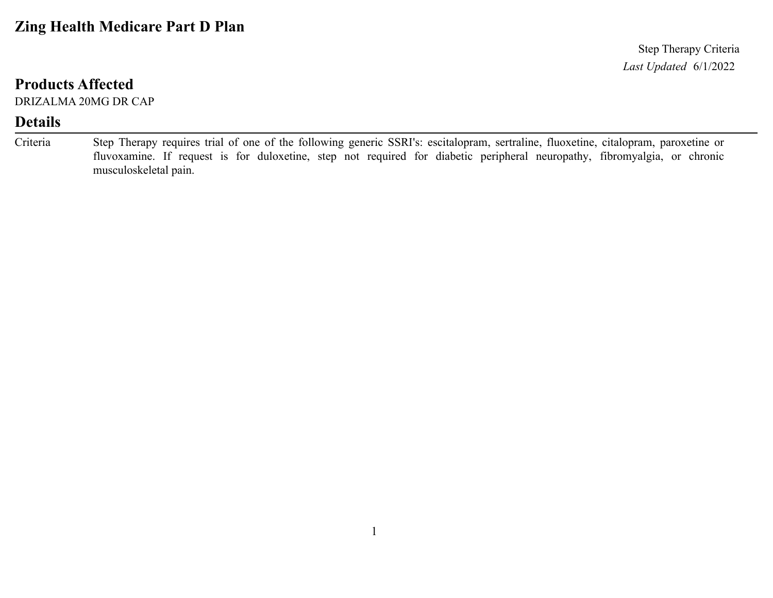### **Zing Health Medicare Part D Plan**

*Last Updated* 6/1/2022 Step Therapy Criteria

#### **Products Affected**

DRIZALMA 20MG DR CAP

#### **Details**

Step Therapy requires trial of one of the following generic SSRI's: escitalopram, sertraline, fluoxetine, citalopram, paroxetine or fluvoxamine. If request is for duloxetine, step not required for diabetic peripheral neuropathy, fibromyalgia, or chronic musculoskeletal pain. Criteria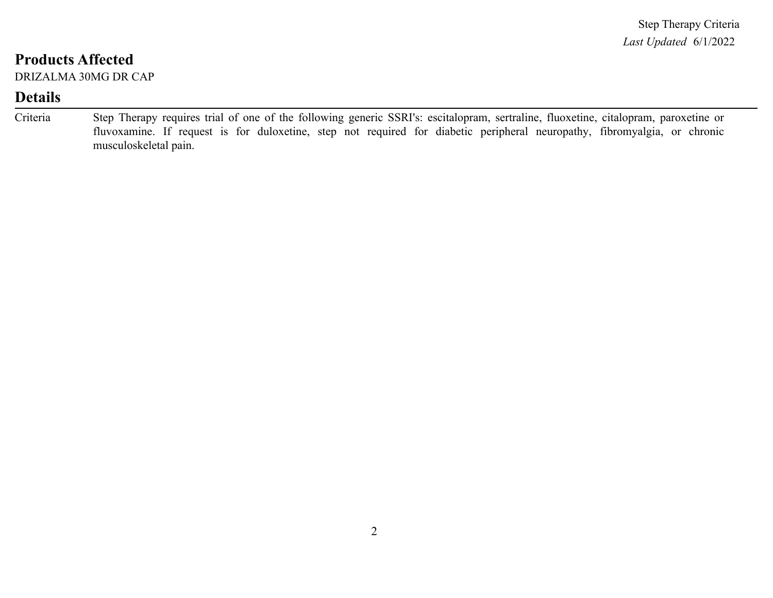DRIZALMA 30MG DR CAP

| Criteria | Step Therapy requires trial of one of the following generic SSRI's: escitalopram, sertraline, fluoxetine, citalopram, paroxetine or |
|----------|-------------------------------------------------------------------------------------------------------------------------------------|
|          | fluvoxamine. If request is for duloxetine, step not required for diabetic peripheral neuropathy, fibromyalgia, or chronic           |
|          | musculoskeletal pain.                                                                                                               |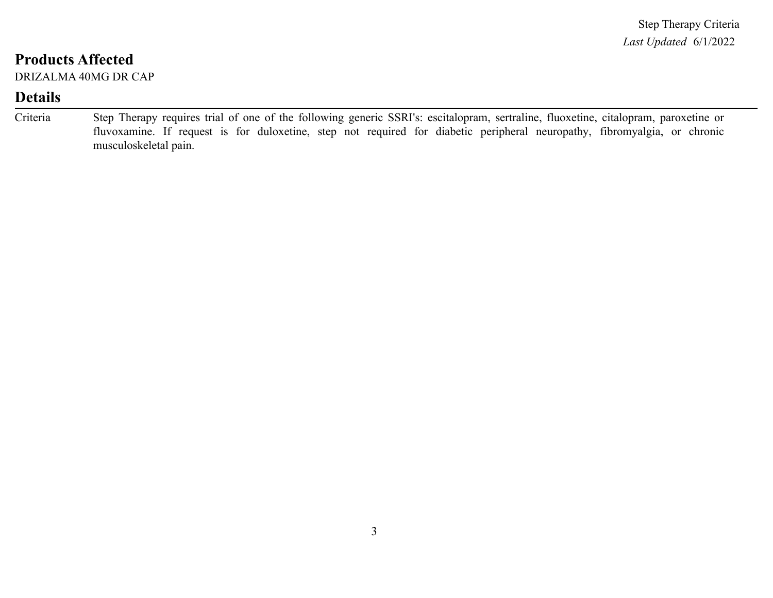DRIZALMA 40MG DR CAP

| Criteria | Step Therapy requires trial of one of the following generic SSRI's: escitalopram, sertraline, fluoxetine, citalopram, paroxetine or |
|----------|-------------------------------------------------------------------------------------------------------------------------------------|
|          | fluvoxamine. If request is for duloxetine, step not required for diabetic peripheral neuropathy, fibromyalgia, or chronic           |
|          | musculoskeletal pain.                                                                                                               |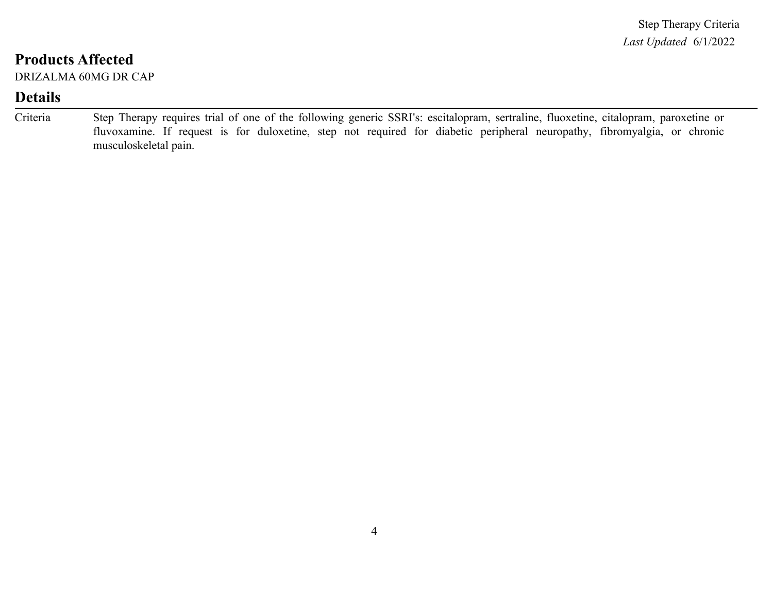DRIZALMA 60MG DR CAP

| Criteria | Step Therapy requires trial of one of the following generic SSRI's: escitalopram, sertraline, fluoxetine, citalopram, paroxetine or |
|----------|-------------------------------------------------------------------------------------------------------------------------------------|
|          | fluvoxamine. If request is for duloxetine, step not required for diabetic peripheral neuropathy, fibromyalgia, or chronic           |
|          | musculoskeletal pain.                                                                                                               |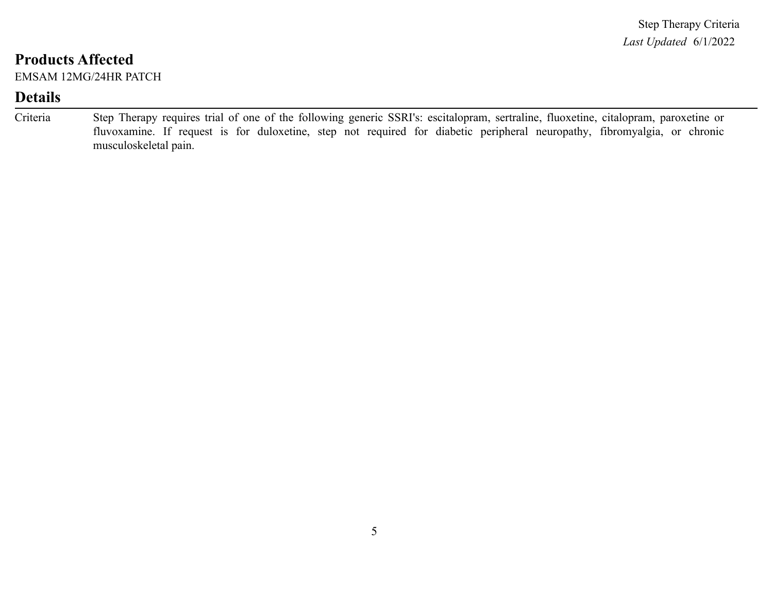EMSAM 12MG/24HR PATCH

| Criteria | Step Therapy requires trial of one of the following generic SSRI's: escitalopram, sertraline, fluoxetine, citalopram, paroxetine or |
|----------|-------------------------------------------------------------------------------------------------------------------------------------|
|          | fluvoxamine. If request is for duloxetine, step not required for diabetic peripheral neuropathy, fibromyalgia, or chronic           |
|          | musculoskeletal pain.                                                                                                               |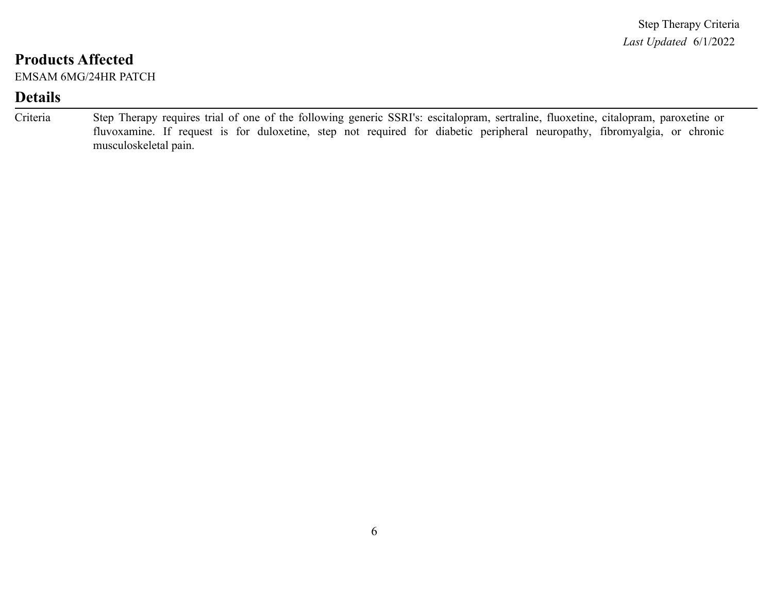EMSAM 6MG/24HR PATCH

| Criteria | Step Therapy requires trial of one of the following generic SSRI's: escitalopram, sertraline, fluoxetine, citalopram, paroxetine or |
|----------|-------------------------------------------------------------------------------------------------------------------------------------|
|          | fluvoxamine. If request is for duloxetine, step not required for diabetic peripheral neuropathy, fibromyalgia, or chronic           |
|          | musculoskeletal pain.                                                                                                               |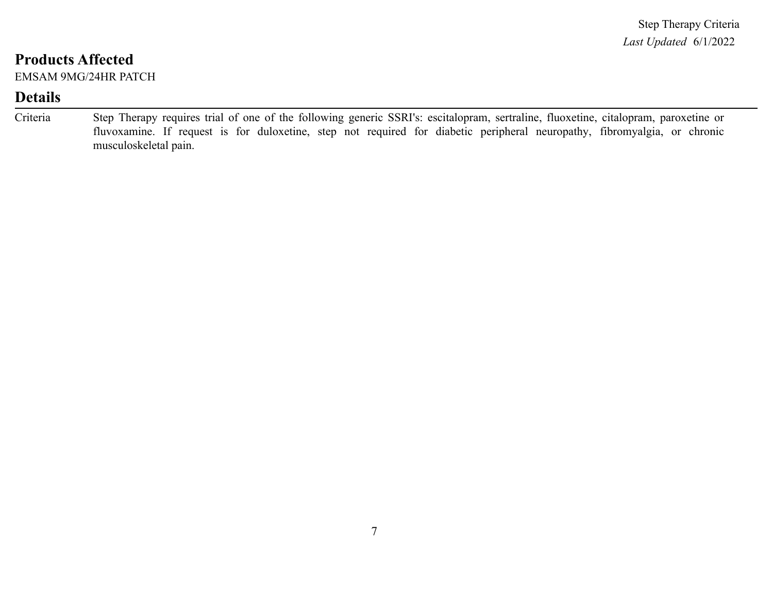EMSAM 9MG/24HR PATCH

| Criteria | Step Therapy requires trial of one of the following generic SSRI's: escitalopram, sertraline, fluoxetine, citalopram, paroxetine or |
|----------|-------------------------------------------------------------------------------------------------------------------------------------|
|          | fluvoxamine. If request is for duloxetine, step not required for diabetic peripheral neuropathy, fibromyalgia, or chronic           |
|          | musculoskeletal pain.                                                                                                               |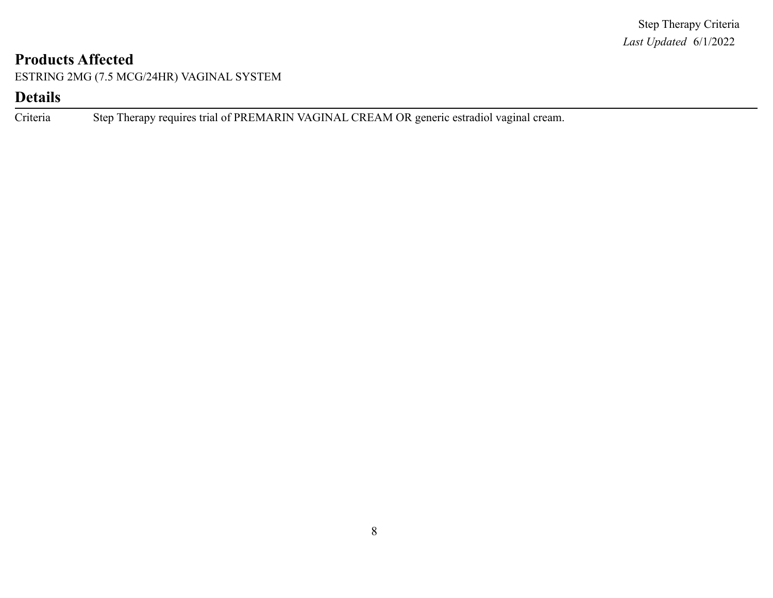ESTRING 2MG (7.5 MCG/24HR) VAGINAL SYSTEM

### **Details**

Criteria Step Therapy requires trial of PREMARIN VAGINAL CREAM OR generic estradiol vaginal cream.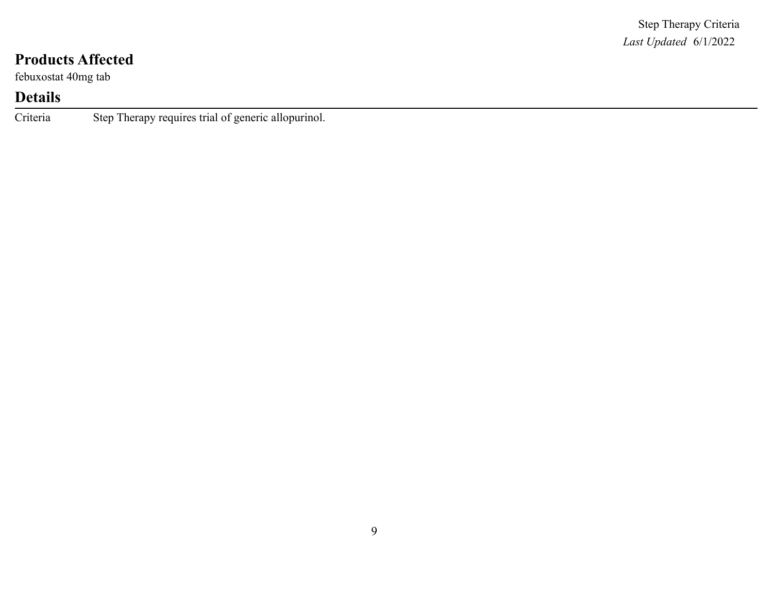febuxostat 40mg tab

# **Details**

Criteria Step Therapy requires trial of generic allopurinol.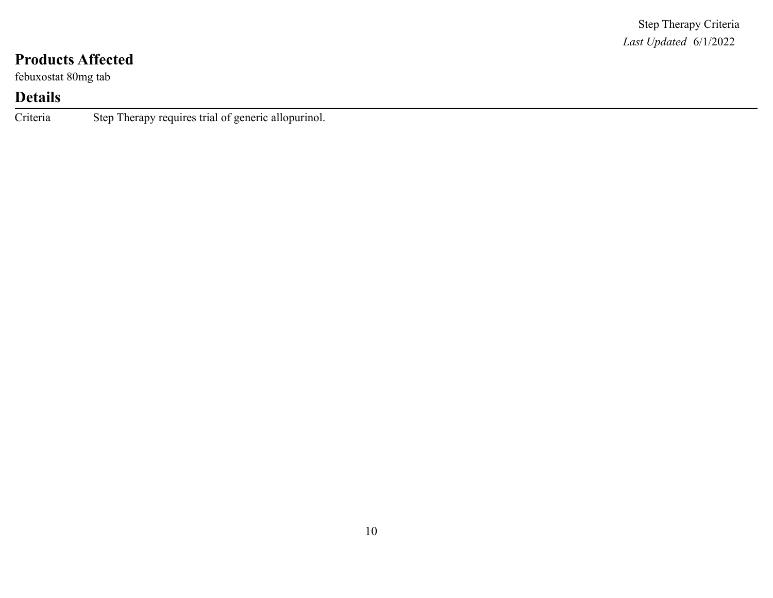febuxostat 80mg tab

# **Details**

Criteria Step Therapy requires trial of generic allopurinol.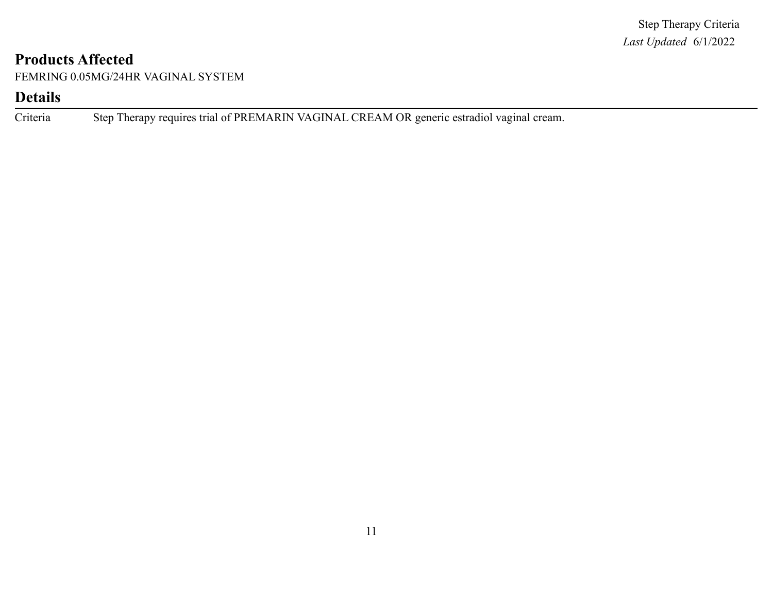FEMRING 0.05MG/24HR VAGINAL SYSTEM

### **Details**

Criteria Step Therapy requires trial of PREMARIN VAGINAL CREAM OR generic estradiol vaginal cream.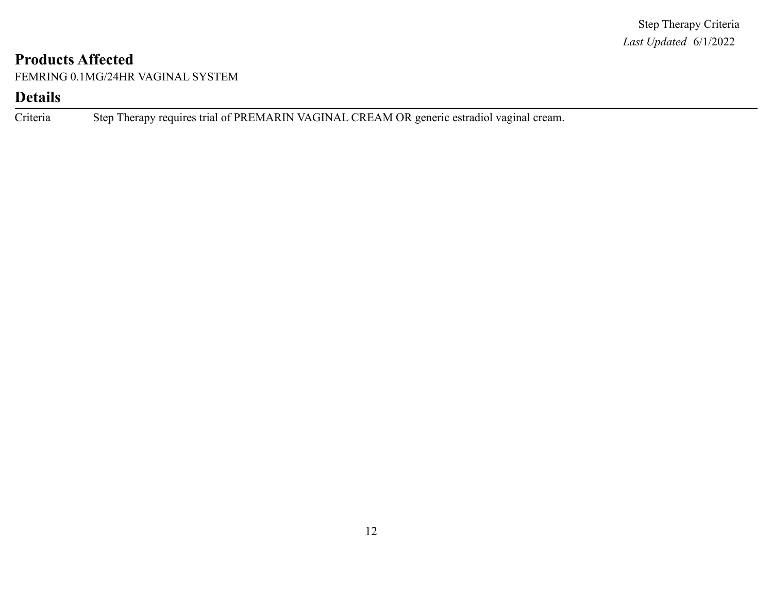FEMRING 0.1MG/24HR VAGINAL SYSTEM

#### **Details**

Criteria Step Therapy requires trial of PREMARIN VAGINAL CREAM OR generic estradiol vaginal cream.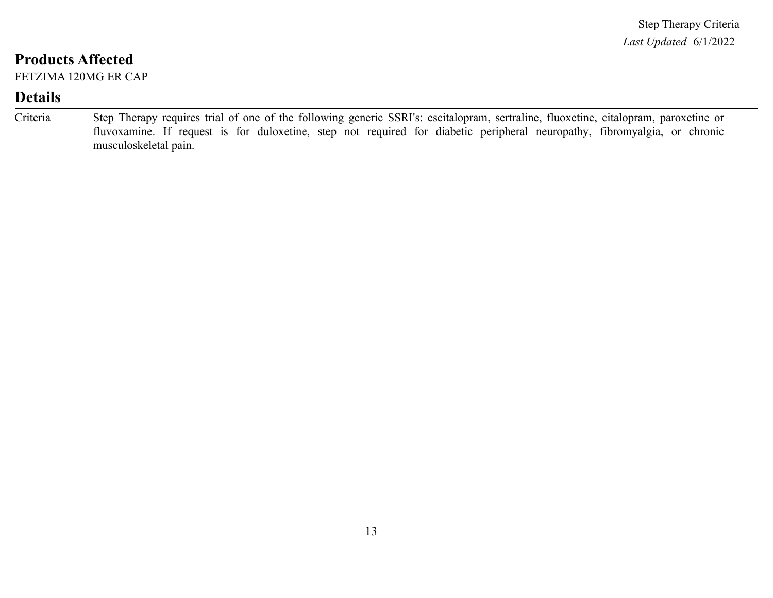FETZIMA 120MG ER CAP

| Criteria | Step Therapy requires trial of one of the following generic SSRI's: escitalopram, sertraline, fluoxetine, citalopram, paroxetine or |
|----------|-------------------------------------------------------------------------------------------------------------------------------------|
|          | fluvoxamine. If request is for duloxetine, step not required for diabetic peripheral neuropathy, fibromyalgia, or chronic           |
|          | musculoskeletal pain.                                                                                                               |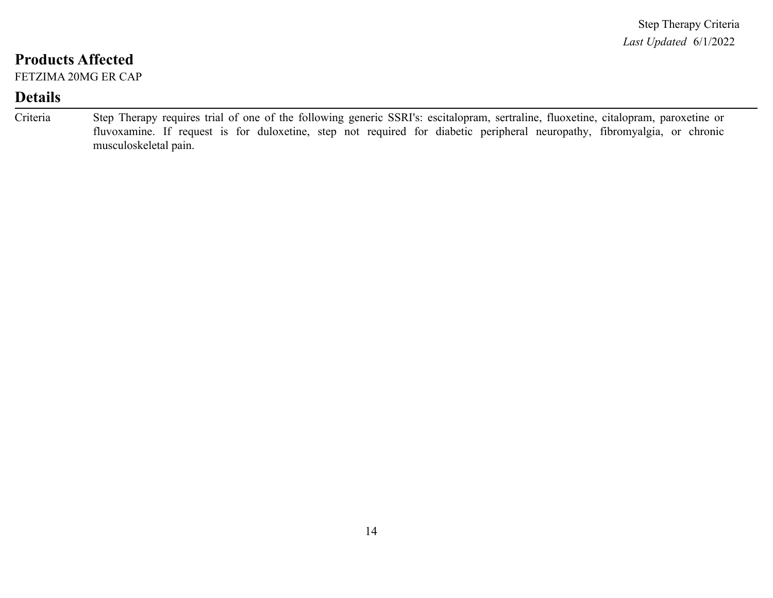FETZIMA 20MG ER CAP

| Criteria | Step Therapy requires trial of one of the following generic SSRI's: escitalopram, sertraline, fluoxetine, citalopram, paroxetine or |  |
|----------|-------------------------------------------------------------------------------------------------------------------------------------|--|
|          | fluvoxamine. If request is for duloxetine, step not required for diabetic peripheral neuropathy, fibromyalgia, or chronic           |  |
|          | musculoskeletal pain.                                                                                                               |  |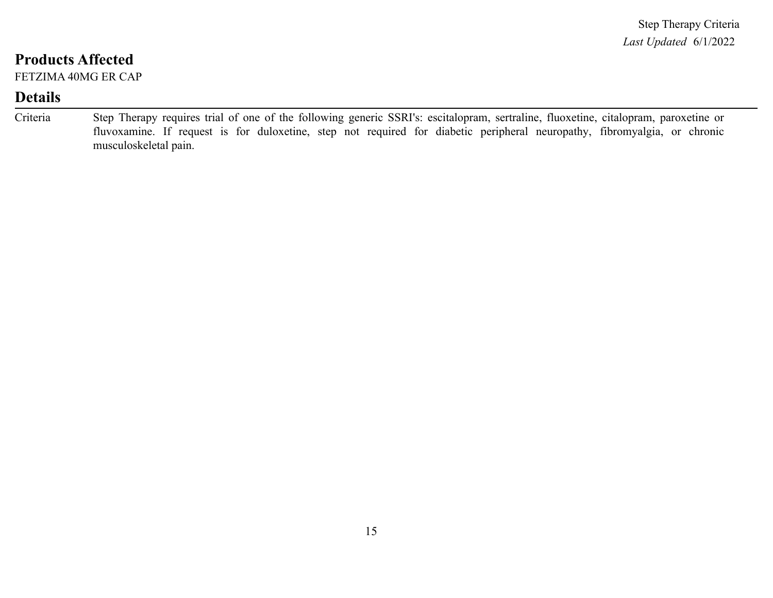FETZIMA 40MG ER CAP

| Criteria | Step Therapy requires trial of one of the following generic SSRI's: escitalopram, sertraline, fluoxetine, citalopram, paroxetine or |
|----------|-------------------------------------------------------------------------------------------------------------------------------------|
|          | fluvoxamine. If request is for duloxetine, step not required for diabetic peripheral neuropathy, fibromyalgia, or chronic           |
|          | musculoskeletal pain.                                                                                                               |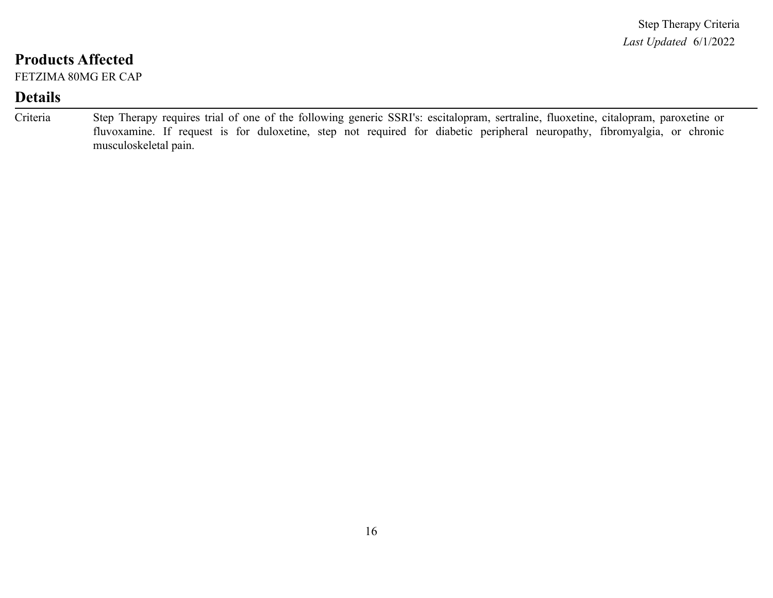FETZIMA 80MG ER CAP

| Criteria | Step Therapy requires trial of one of the following generic SSRI's: escitalopram, sertraline, fluoxetine, citalopram, paroxetine or |
|----------|-------------------------------------------------------------------------------------------------------------------------------------|
|          | fluvoxamine. If request is for duloxetine, step not required for diabetic peripheral neuropathy, fibromyalgia, or chronic           |
|          | musculoskeletal pain.                                                                                                               |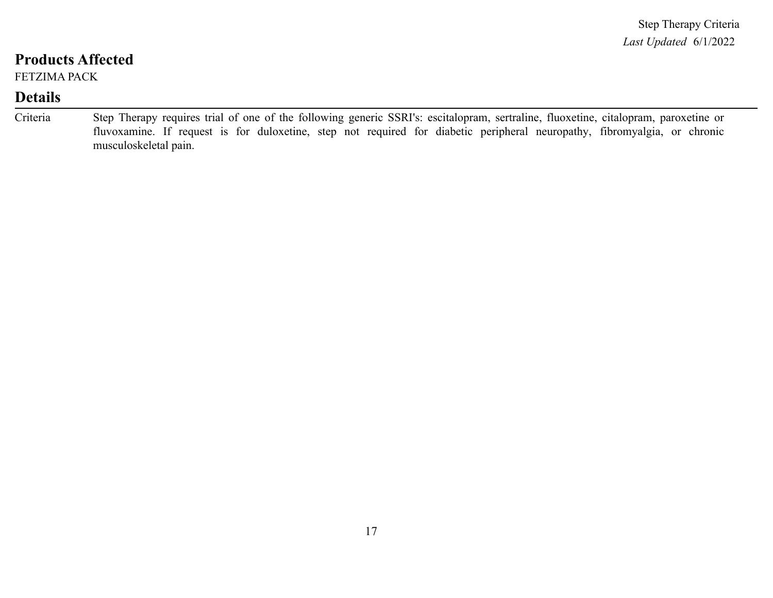FETZIMA PACK

| Criteria | Step Therapy requires trial of one of the following generic SSRI's: escitalopram, sertraline, fluoxetine, citalopram, paroxetine or |
|----------|-------------------------------------------------------------------------------------------------------------------------------------|
|          | fluvoxamine. If request is for duloxetine, step not required for diabetic peripheral neuropathy, fibromyalgia, or chronic           |
|          | musculoskeletal pain.                                                                                                               |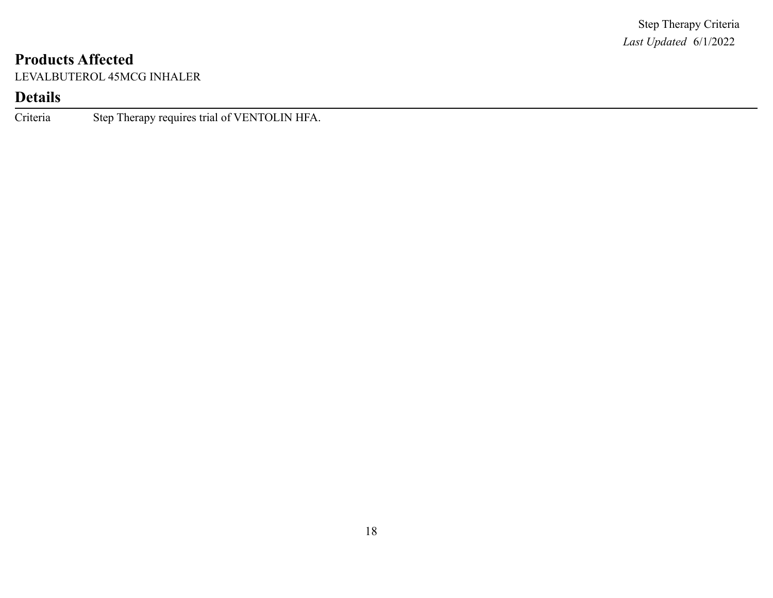LEVALBUTEROL 45MCG INHALER

# **Details**

Criteria Step Therapy requires trial of VENTOLIN HFA.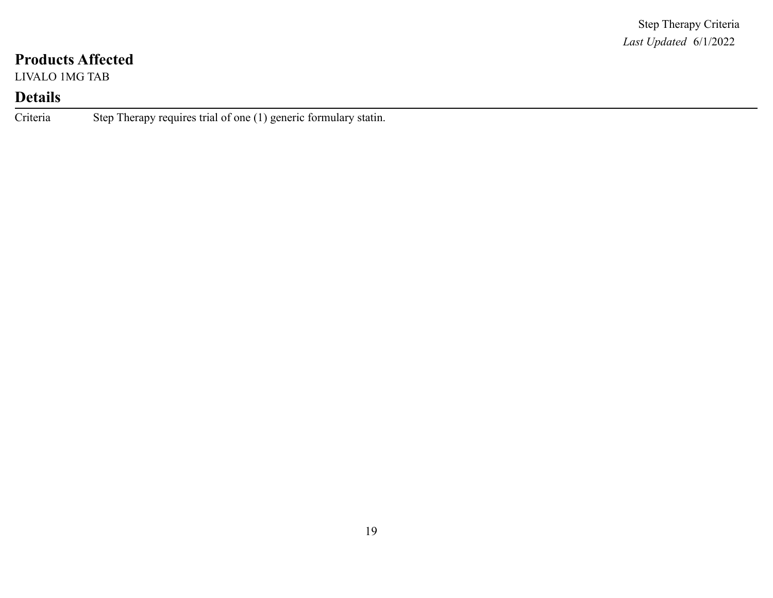LIVALO 1MG TAB

### **Details**

Criteria Step Therapy requires trial of one (1) generic formulary statin.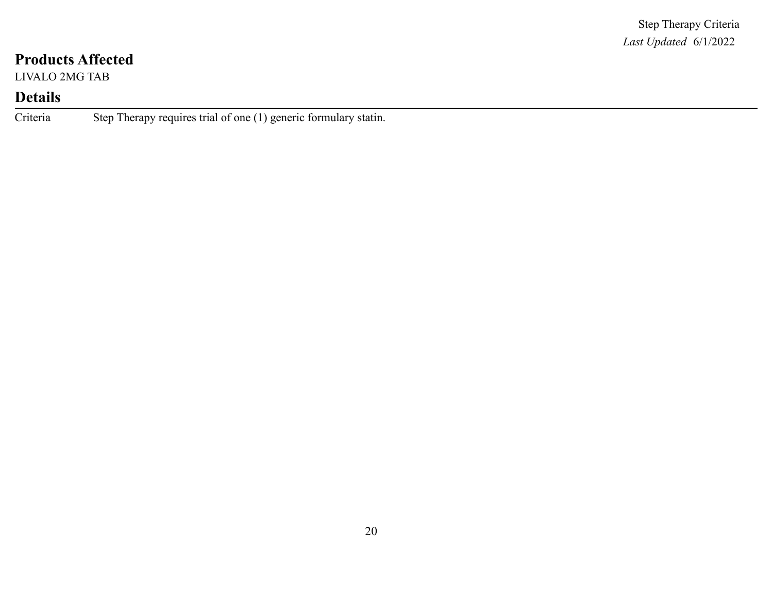LIVALO 2MG TAB

### **Details**

Criteria Step Therapy requires trial of one (1) generic formulary statin.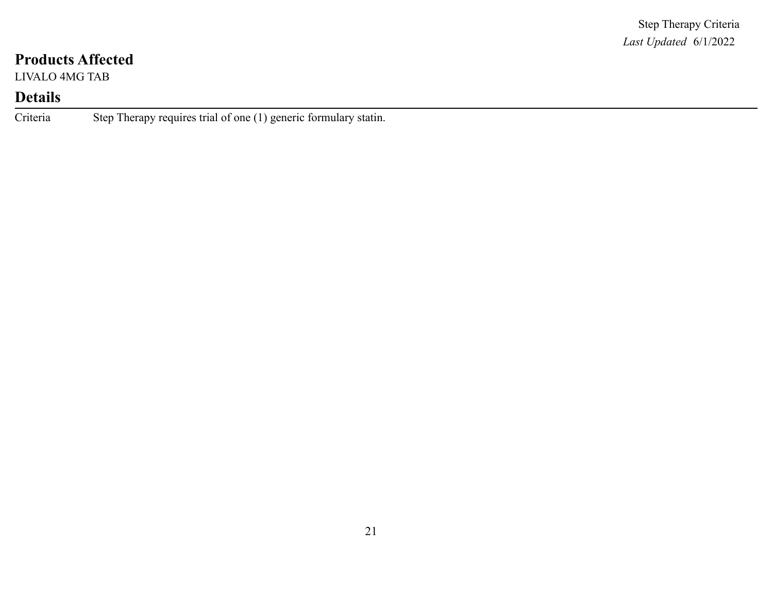LIVALO 4MG TAB

### **Details**

Criteria Step Therapy requires trial of one (1) generic formulary statin.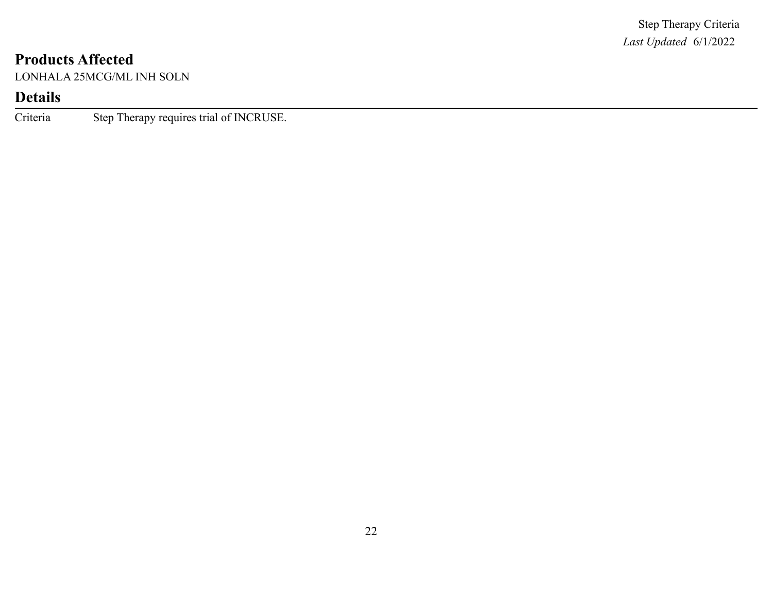LONHALA 25MCG/ML INH SOLN

# **Details**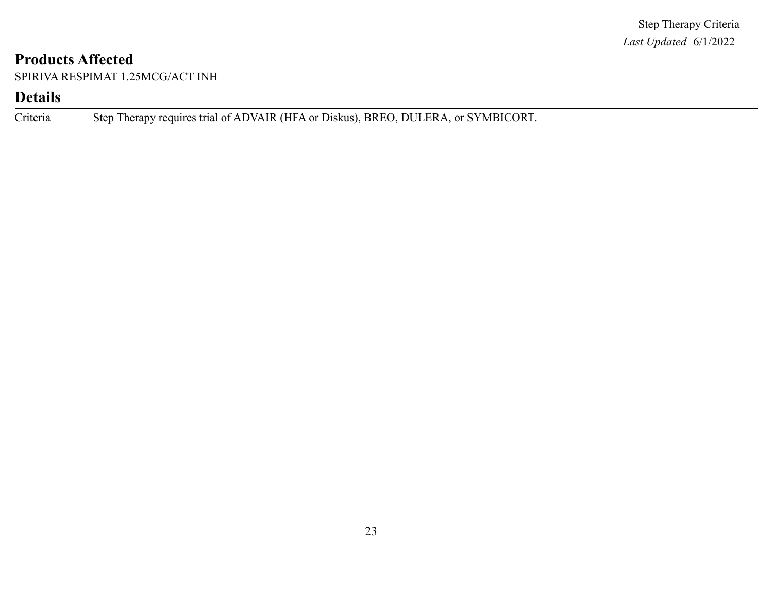SPIRIVA RESPIMAT 1.25MCG/ACT INH

#### **Details**

Criteria Step Therapy requires trial of ADVAIR (HFA or Diskus), BREO, DULERA, or SYMBICORT.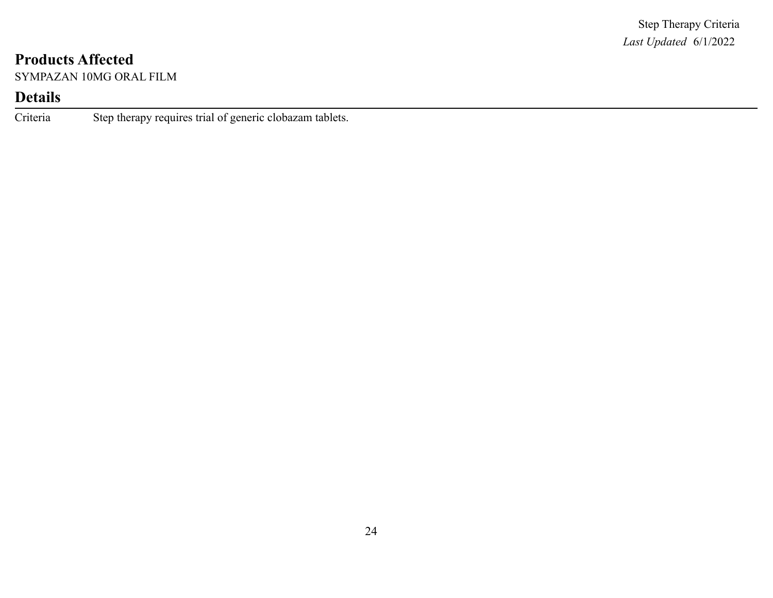SYMPAZAN 10MG ORAL FILM

# **Details**

Criteria Step therapy requires trial of generic clobazam tablets.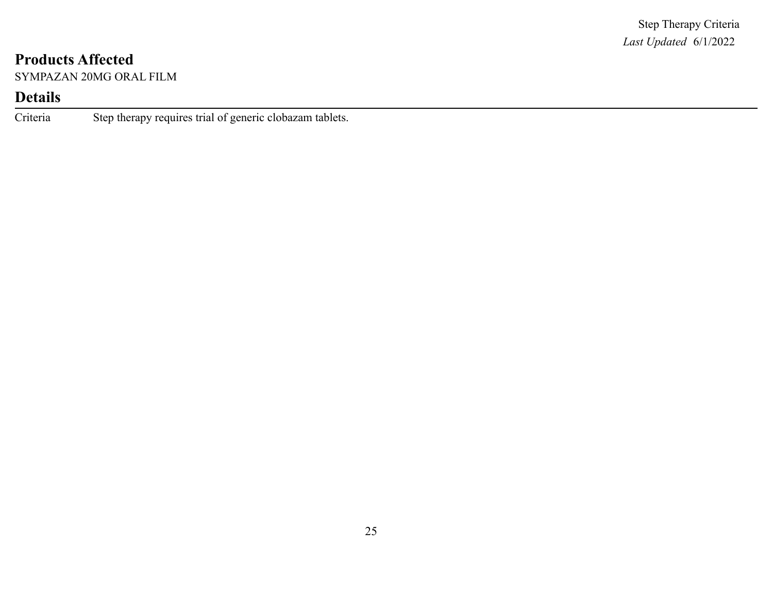SYMPAZAN 20MG ORAL FILM

# **Details**

Criteria Step therapy requires trial of generic clobazam tablets.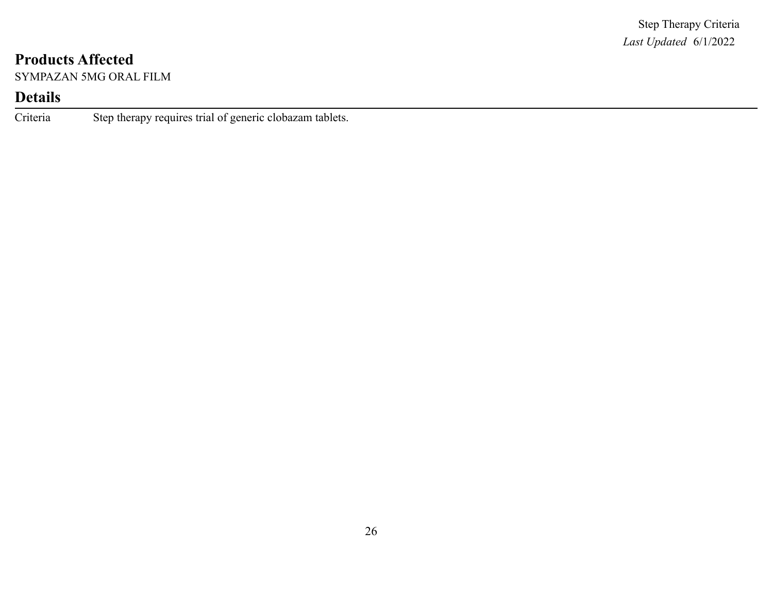SYMPAZAN 5MG ORAL FILM

# **Details**

Criteria Step therapy requires trial of generic clobazam tablets.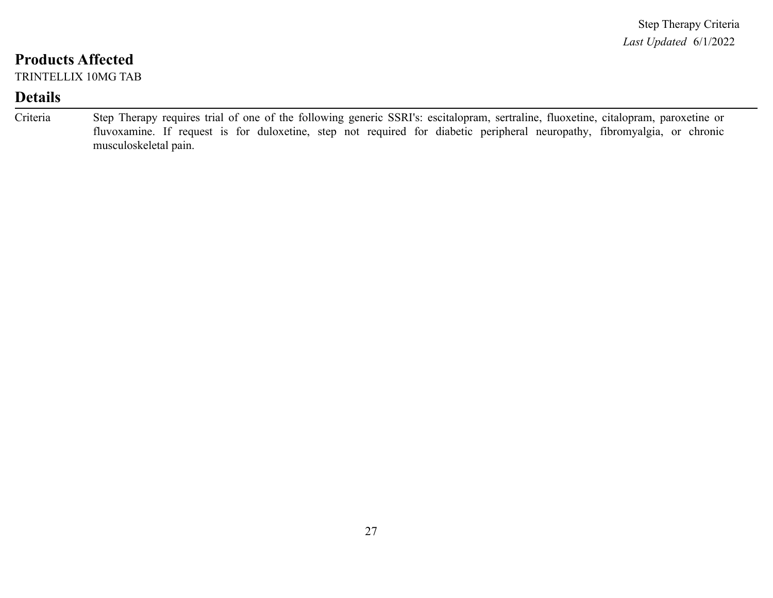TRINTELLIX 10MG TAB

| Criteria | Step Therapy requires trial of one of the following generic SSRI's: escitalopram, sertraline, fluoxetine, citalopram, paroxetine or |
|----------|-------------------------------------------------------------------------------------------------------------------------------------|
|          | fluvoxamine. If request is for duloxetine, step not required for diabetic peripheral neuropathy, fibromyalgia, or chronic           |
|          | musculoskeletal pain.                                                                                                               |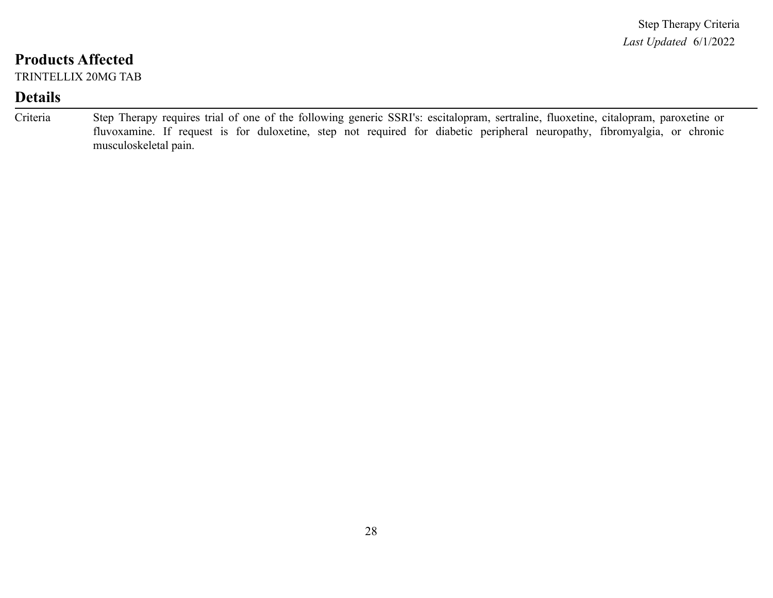TRINTELLIX 20MG TAB

| Criteria | Step Therapy requires trial of one of the following generic SSRI's: escitalopram, sertraline, fluoxetine, citalopram, paroxetine or |
|----------|-------------------------------------------------------------------------------------------------------------------------------------|
|          | fluvoxamine. If request is for duloxetine, step not required for diabetic peripheral neuropathy, fibromyalgia, or chronic           |
|          | musculoskeletal pain.                                                                                                               |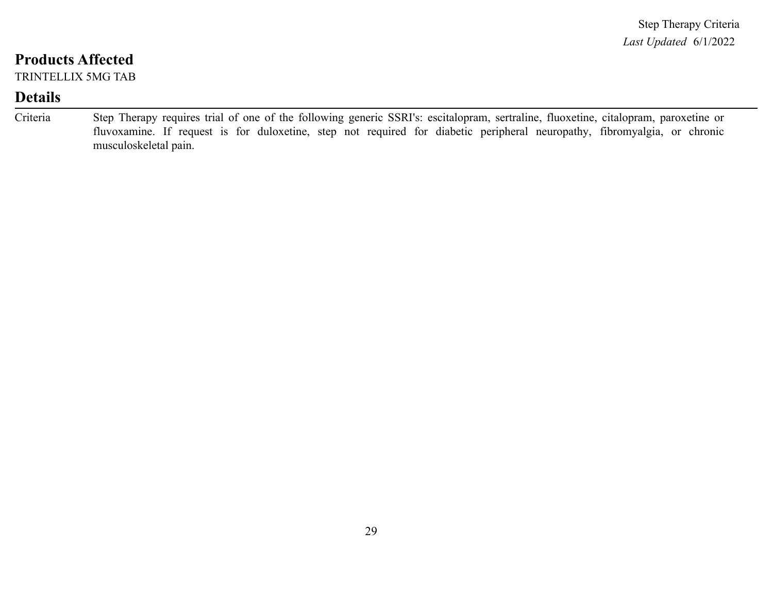TRINTELLIX 5MG TAB

| Criteria | Step Therapy requires trial of one of the following generic SSRI's: escitalopram, sertraline, fluoxetine, citalopram, paroxetine or |
|----------|-------------------------------------------------------------------------------------------------------------------------------------|
|          | fluvoxamine. If request is for duloxetine, step not required for diabetic peripheral neuropathy, fibromyalgia, or chronic           |
|          | musculoskeletal pain.                                                                                                               |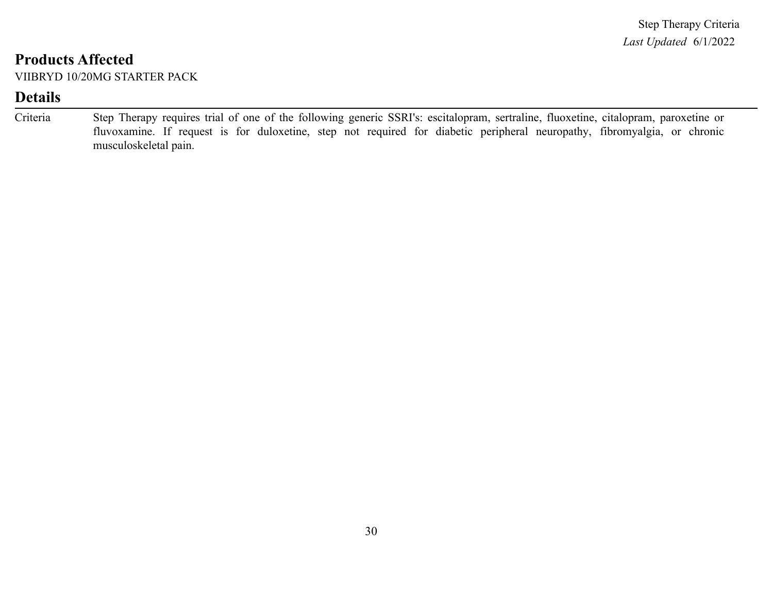VIIBRYD 10/20MG STARTER PACK

| Criteria | Step Therapy requires trial of one of the following generic SSRI's: escitalopram, sertraline, fluoxetine, citalopram, paroxetine or |  |  |  |  |  |
|----------|-------------------------------------------------------------------------------------------------------------------------------------|--|--|--|--|--|
|          | fluvoxamine. If request is for duloxetine, step not required for diabetic peripheral neuropathy, fibromyalgia, or chronic           |  |  |  |  |  |
|          | musculoskeletal pain.                                                                                                               |  |  |  |  |  |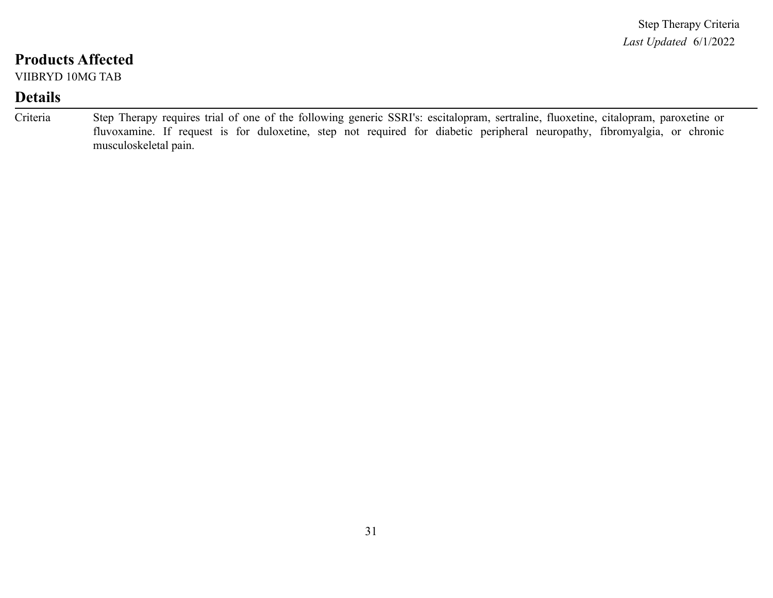VIIBRYD 10MG TAB

| Criteria | Step Therapy requires trial of one of the following generic SSRI's: escitalopram, sertraline, fluoxetine, citalopram, paroxetine or |
|----------|-------------------------------------------------------------------------------------------------------------------------------------|
|          | fluvoxamine. If request is for duloxetine, step not required for diabetic peripheral neuropathy, fibromyalgia, or chronic           |
|          | musculoskeletal pain.                                                                                                               |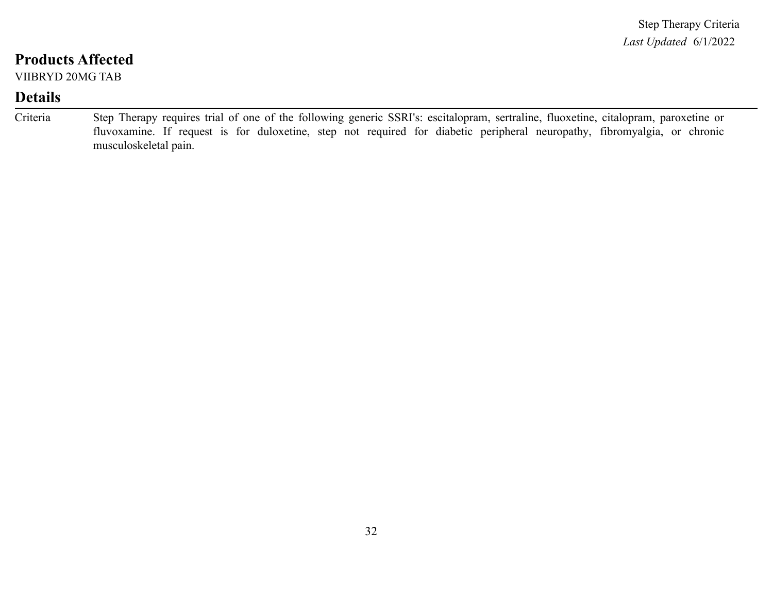VIIBRYD 20MG TAB

| Criteria | Step Therapy requires trial of one of the following generic SSRI's: escitalopram, sertraline, fluoxetine, citalopram, paroxetine or |
|----------|-------------------------------------------------------------------------------------------------------------------------------------|
|          | fluvoxamine. If request is for duloxetine, step not required for diabetic peripheral neuropathy, fibromyalgia, or chronic           |
|          | musculoskeletal pain.                                                                                                               |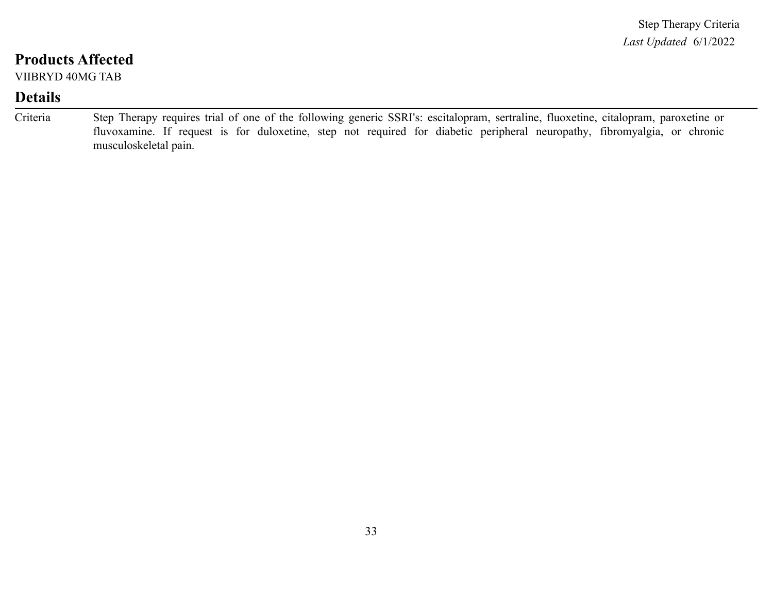VIIBRYD 40MG TAB

| Criteria | Step Therapy requires trial of one of the following generic SSRI's: escitalopram, sertraline, fluoxetine, citalopram, paroxetine or |
|----------|-------------------------------------------------------------------------------------------------------------------------------------|
|          | fluvoxamine. If request is for duloxetine, step not required for diabetic peripheral neuropathy, fibromyalgia, or chronic           |
|          | musculoskeletal pain.                                                                                                               |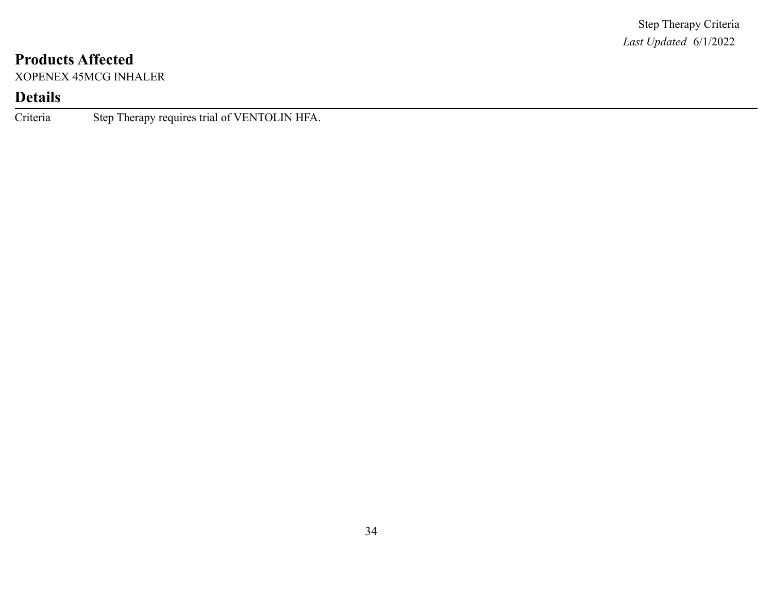XOPENEX 45MCG INHALER

# **Details**

Criteria Step Therapy requires trial of VENTOLIN HFA.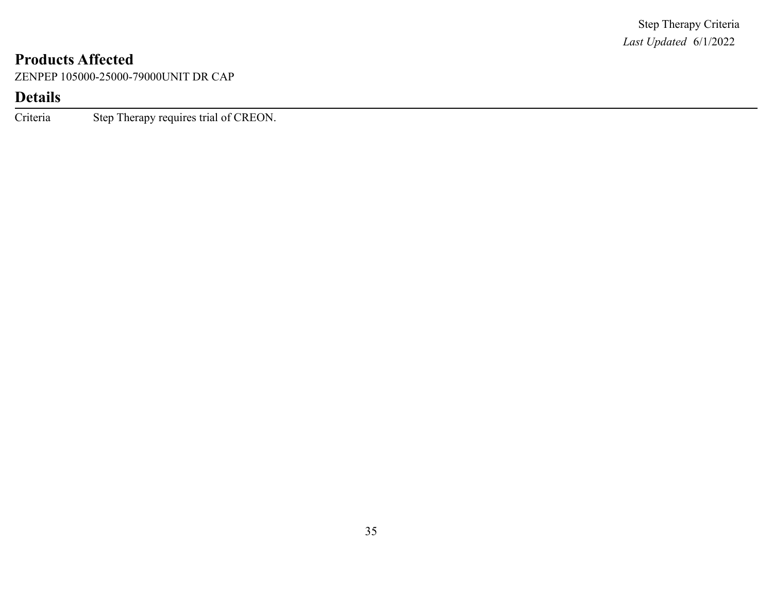ZENPEP 105000-25000-79000UNIT DR CAP

# **Details**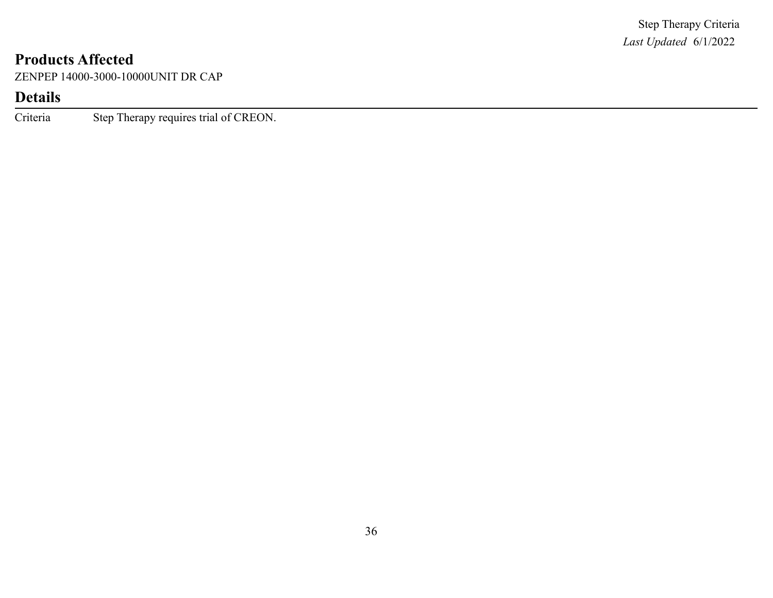ZENPEP 14000-3000-10000UNIT DR CAP

# **Details**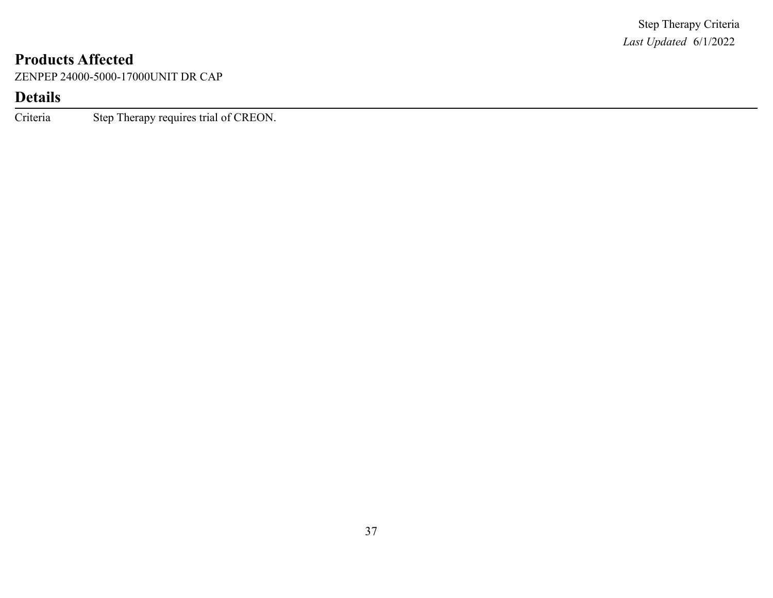ZENPEP 24000-5000-17000UNIT DR CAP

# **Details**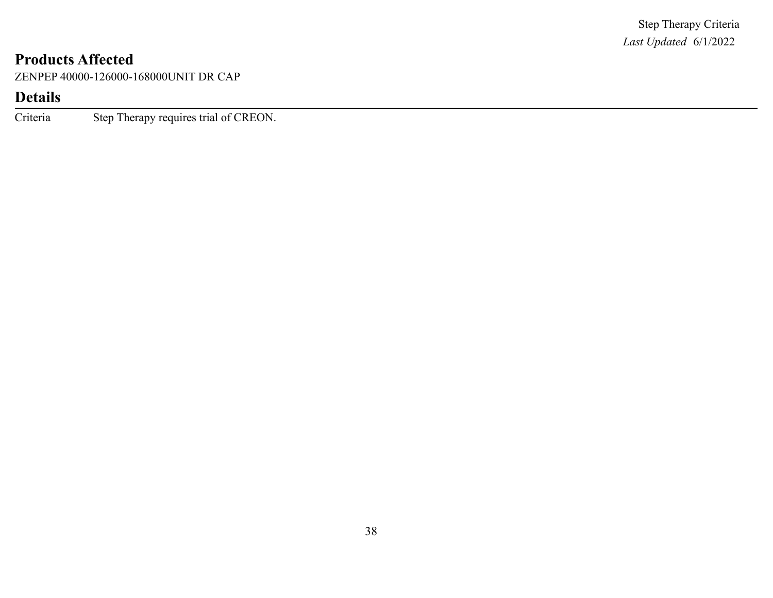ZENPEP 40000-126000-168000UNIT DR CAP

# **Details**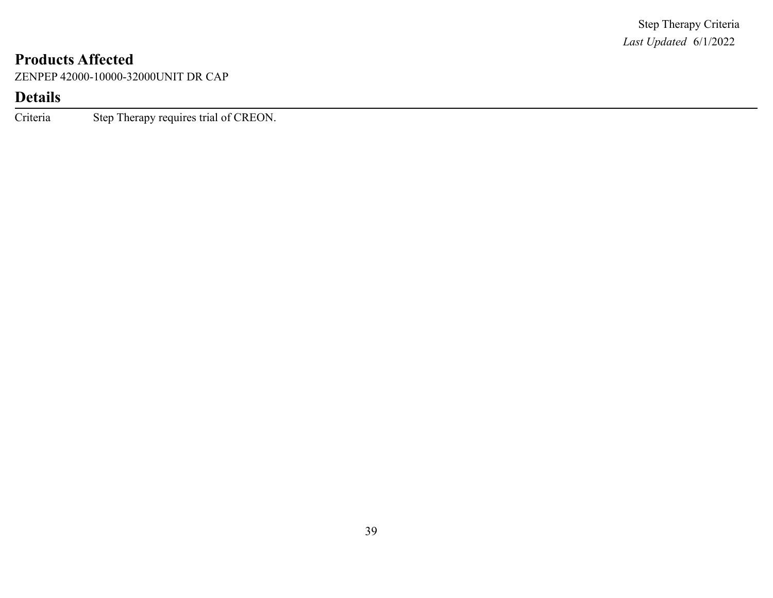ZENPEP 42000-10000-32000UNIT DR CAP

# **Details**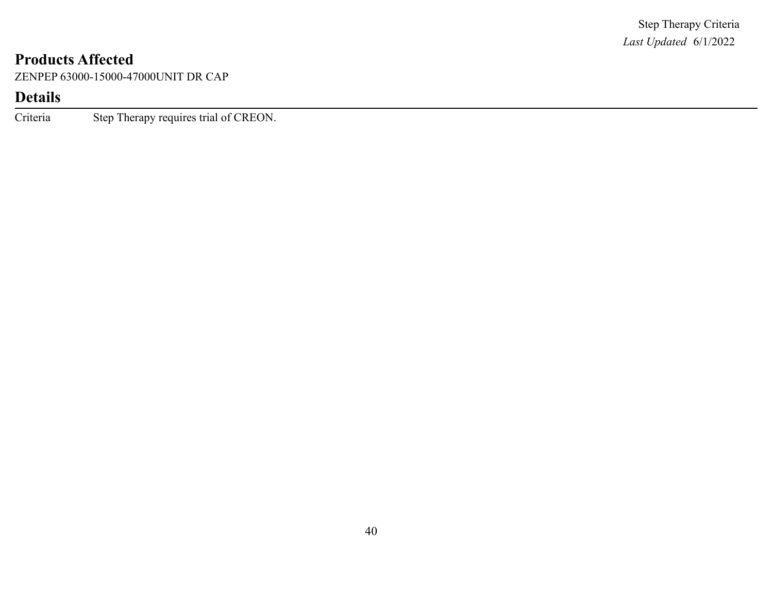ZENPEP 63000-15000-47000UNIT DR CAP

# **Details**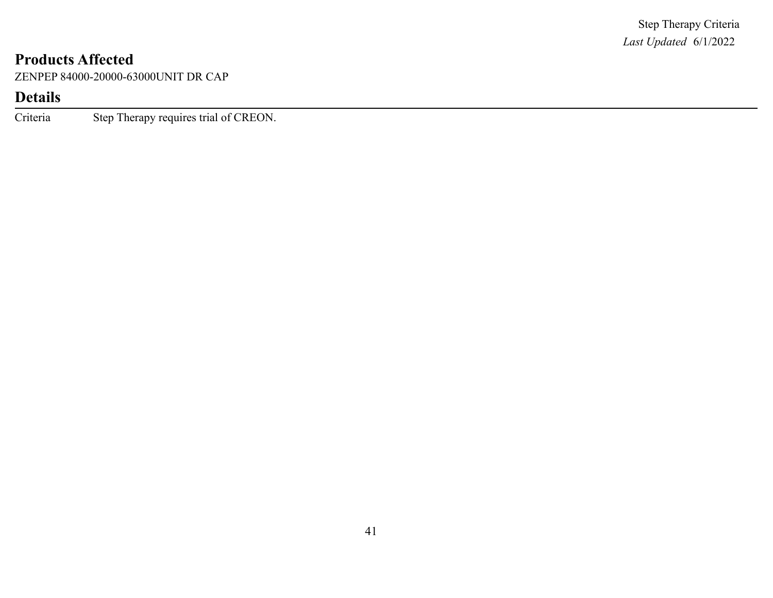ZENPEP 84000-20000-63000UNIT DR CAP

# **Details**